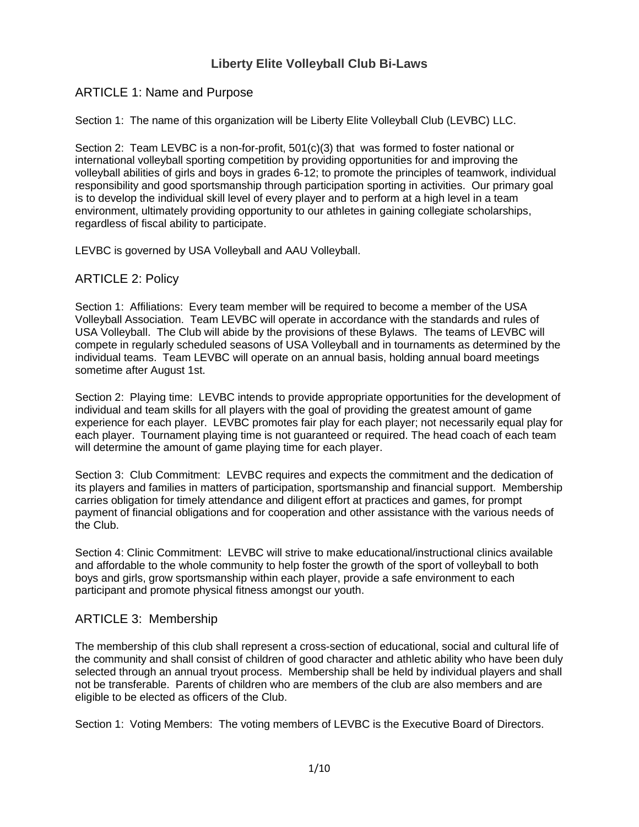# **Liberty Elite Volleyball Club Bi-Laws**

# ARTICLE 1: Name and Purpose

Section 1: The name of this organization will be Liberty Elite Volleyball Club (LEVBC) LLC.

Section 2: Team LEVBC is a non-for-profit, 501(c)(3) that was formed to foster national or international volleyball sporting competition by providing opportunities for and improving the volleyball abilities of girls and boys in grades 6-12; to promote the principles of teamwork, individual responsibility and good sportsmanship through participation sporting in activities. Our primary goal is to develop the individual skill level of every player and to perform at a high level in a team environment, ultimately providing opportunity to our athletes in gaining collegiate scholarships, regardless of fiscal ability to participate.

LEVBC is governed by USA Volleyball and AAU Volleyball.

# ARTICLE 2: Policy

Section 1: Affiliations: Every team member will be required to become a member of the USA Volleyball Association. Team LEVBC will operate in accordance with the standards and rules of USA Volleyball. The Club will abide by the provisions of these Bylaws. The teams of LEVBC will compete in regularly scheduled seasons of USA Volleyball and in tournaments as determined by the individual teams. Team LEVBC will operate on an annual basis, holding annual board meetings sometime after August 1st.

Section 2: Playing time: LEVBC intends to provide appropriate opportunities for the development of individual and team skills for all players with the goal of providing the greatest amount of game experience for each player. LEVBC promotes fair play for each player; not necessarily equal play for each player. Tournament playing time is not guaranteed or required. The head coach of each team will determine the amount of game playing time for each player.

Section 3: Club Commitment: LEVBC requires and expects the commitment and the dedication of its players and families in matters of participation, sportsmanship and financial support. Membership carries obligation for timely attendance and diligent effort at practices and games, for prompt payment of financial obligations and for cooperation and other assistance with the various needs of the Club.

Section 4: Clinic Commitment: LEVBC will strive to make educational/instructional clinics available and affordable to the whole community to help foster the growth of the sport of volleyball to both boys and girls, grow sportsmanship within each player, provide a safe environment to each participant and promote physical fitness amongst our youth.

# ARTICLE 3: Membership

The membership of this club shall represent a cross-section of educational, social and cultural life of the community and shall consist of children of good character and athletic ability who have been duly selected through an annual tryout process. Membership shall be held by individual players and shall not be transferable. Parents of children who are members of the club are also members and are eligible to be elected as officers of the Club.

Section 1: Voting Members: The voting members of LEVBC is the Executive Board of Directors.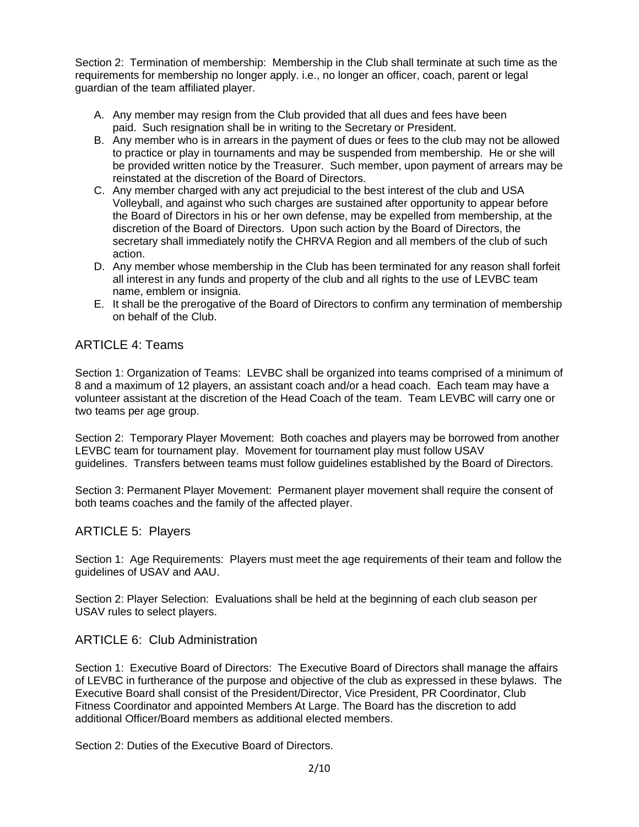Section 2: Termination of membership: Membership in the Club shall terminate at such time as the requirements for membership no longer apply. i.e., no longer an officer, coach, parent or legal guardian of the team affiliated player.

- A. Any member may resign from the Club provided that all dues and fees have been paid. Such resignation shall be in writing to the Secretary or President.
- B. Any member who is in arrears in the payment of dues or fees to the club may not be allowed to practice or play in tournaments and may be suspended from membership. He or she will be provided written notice by the Treasurer. Such member, upon payment of arrears may be reinstated at the discretion of the Board of Directors.
- C. Any member charged with any act prejudicial to the best interest of the club and USA Volleyball, and against who such charges are sustained after opportunity to appear before the Board of Directors in his or her own defense, may be expelled from membership, at the discretion of the Board of Directors. Upon such action by the Board of Directors, the secretary shall immediately notify the CHRVA Region and all members of the club of such action.
- D. Any member whose membership in the Club has been terminated for any reason shall forfeit all interest in any funds and property of the club and all rights to the use of LEVBC team name, emblem or insignia.
- E. It shall be the prerogative of the Board of Directors to confirm any termination of membership on behalf of the Club.

# ARTICLE 4: Teams

Section 1: Organization of Teams: LEVBC shall be organized into teams comprised of a minimum of 8 and a maximum of 12 players, an assistant coach and/or a head coach. Each team may have a volunteer assistant at the discretion of the Head Coach of the team. Team LEVBC will carry one or two teams per age group.

Section 2: Temporary Player Movement: Both coaches and players may be borrowed from another LEVBC team for tournament play. Movement for tournament play must follow USAV guidelines. Transfers between teams must follow guidelines established by the Board of Directors.

Section 3: Permanent Player Movement: Permanent player movement shall require the consent of both teams coaches and the family of the affected player.

# ARTICLE 5: Players

Section 1: Age Requirements: Players must meet the age requirements of their team and follow the guidelines of USAV and AAU.

Section 2: Player Selection: Evaluations shall be held at the beginning of each club season per USAV rules to select players.

# ARTICLE 6: Club Administration

Section 1: Executive Board of Directors: The Executive Board of Directors shall manage the affairs of LEVBC in furtherance of the purpose and objective of the club as expressed in these bylaws. The Executive Board shall consist of the President/Director, Vice President, PR Coordinator, Club Fitness Coordinator and appointed Members At Large. The Board has the discretion to add additional Officer/Board members as additional elected members.

Section 2: Duties of the Executive Board of Directors.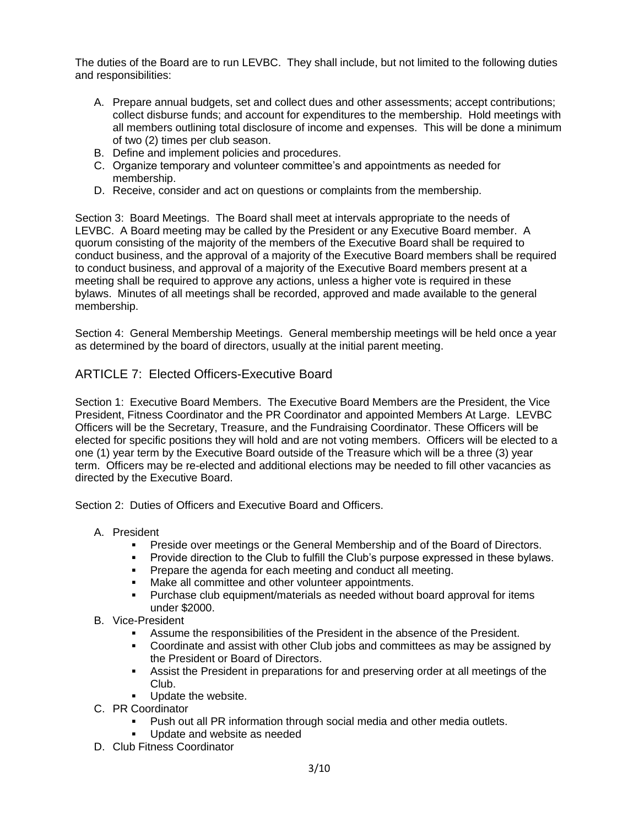The duties of the Board are to run LEVBC. They shall include, but not limited to the following duties and responsibilities:

- A. Prepare annual budgets, set and collect dues and other assessments; accept contributions; collect disburse funds; and account for expenditures to the membership. Hold meetings with all members outlining total disclosure of income and expenses. This will be done a minimum of two (2) times per club season.
- B. Define and implement policies and procedures.
- C. Organize temporary and volunteer committee's and appointments as needed for membership.
- D. Receive, consider and act on questions or complaints from the membership.

Section 3: Board Meetings. The Board shall meet at intervals appropriate to the needs of LEVBC. A Board meeting may be called by the President or any Executive Board member. A quorum consisting of the majority of the members of the Executive Board shall be required to conduct business, and the approval of a majority of the Executive Board members shall be required to conduct business, and approval of a majority of the Executive Board members present at a meeting shall be required to approve any actions, unless a higher vote is required in these bylaws. Minutes of all meetings shall be recorded, approved and made available to the general membership.

Section 4: General Membership Meetings. General membership meetings will be held once a year as determined by the board of directors, usually at the initial parent meeting.

# ARTICLE 7: Elected Officers-Executive Board

Section 1: Executive Board Members. The Executive Board Members are the President, the Vice President, Fitness Coordinator and the PR Coordinator and appointed Members At Large. LEVBC Officers will be the Secretary, Treasure, and the Fundraising Coordinator. These Officers will be elected for specific positions they will hold and are not voting members. Officers will be elected to a one (1) year term by the Executive Board outside of the Treasure which will be a three (3) year term. Officers may be re-elected and additional elections may be needed to fill other vacancies as directed by the Executive Board.

Section 2: Duties of Officers and Executive Board and Officers.

#### A. President

- **Preside over meetings or the General Membership and of the Board of Directors.**
- **Provide direction to the Club to fulfill the Club's purpose expressed in these bylaws.**
- **Prepare the agenda for each meeting and conduct all meeting.**
- **Make all committee and other volunteer appointments.**
- Purchase club equipment/materials as needed without board approval for items under \$2000.
- B. Vice-President
	- Assume the responsibilities of the President in the absence of the President.
	- Coordinate and assist with other Club jobs and committees as may be assigned by the President or Board of Directors.
	- Assist the President in preparations for and preserving order at all meetings of the Club.
	- Update the website.
- C. PR Coordinator
	- Push out all PR information through social media and other media outlets.
	- Update and website as needed
- D. Club Fitness Coordinator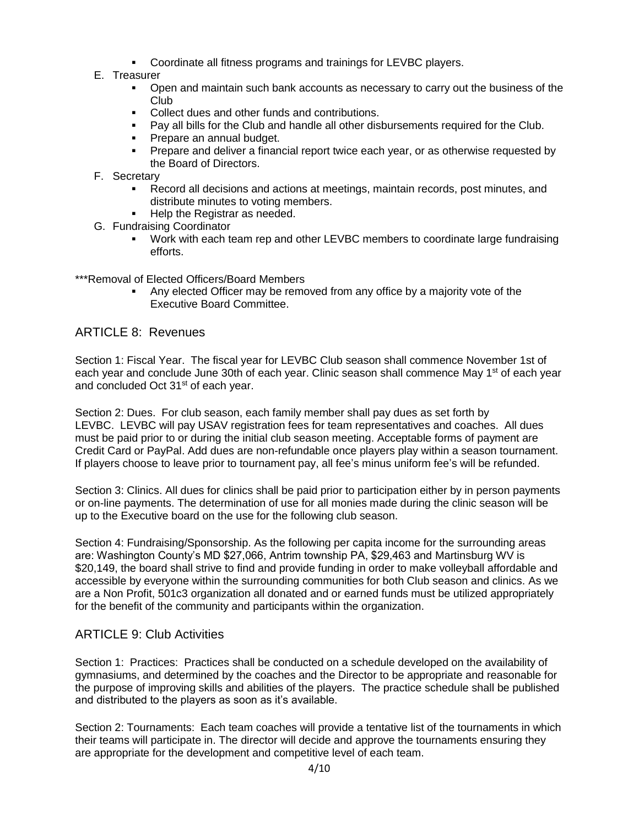- Coordinate all fitness programs and trainings for LEVBC players.
- E. Treasurer
	- Open and maintain such bank accounts as necessary to carry out the business of the Club
	- Collect dues and other funds and contributions.
	- Pay all bills for the Club and handle all other disbursements required for the Club.<br>• Prepare an annual budget
	- Prepare an annual budget.
	- **Prepare and deliver a financial report twice each year, or as otherwise requested by** the Board of Directors.
- F. Secretary
	- Record all decisions and actions at meetings, maintain records, post minutes, and distribute minutes to voting members.
	- **Help the Registrar as needed.**
- G. Fundraising Coordinator
	- Work with each team rep and other LEVBC members to coordinate large fundraising efforts.
- \*\*\*Removal of Elected Officers/Board Members
	- Any elected Officer may be removed from any office by a majority vote of the Executive Board Committee.

# ARTICLE 8: Revenues

Section 1: Fiscal Year. The fiscal year for LEVBC Club season shall commence November 1st of each year and conclude June 30th of each year. Clinic season shall commence May 1<sup>st</sup> of each year and concluded Oct 31<sup>st</sup> of each year.

Section 2: Dues. For club season, each family member shall pay dues as set forth by LEVBC. LEVBC will pay USAV registration fees for team representatives and coaches. All dues must be paid prior to or during the initial club season meeting. Acceptable forms of payment are Credit Card or PayPal. Add dues are non-refundable once players play within a season tournament. If players choose to leave prior to tournament pay, all fee's minus uniform fee's will be refunded.

Section 3: Clinics. All dues for clinics shall be paid prior to participation either by in person payments or on-line payments. The determination of use for all monies made during the clinic season will be up to the Executive board on the use for the following club season.

Section 4: Fundraising/Sponsorship. As the following per capita income for the surrounding areas are: Washington County's MD \$27,066, Antrim township PA, \$29,463 and Martinsburg WV is \$20,149, the board shall strive to find and provide funding in order to make volleyball affordable and accessible by everyone within the surrounding communities for both Club season and clinics. As we are a Non Profit, 501c3 organization all donated and or earned funds must be utilized appropriately for the benefit of the community and participants within the organization.

# ARTICLE 9: Club Activities

Section 1: Practices: Practices shall be conducted on a schedule developed on the availability of gymnasiums, and determined by the coaches and the Director to be appropriate and reasonable for the purpose of improving skills and abilities of the players. The practice schedule shall be published and distributed to the players as soon as it's available.

Section 2: Tournaments: Each team coaches will provide a tentative list of the tournaments in which their teams will participate in. The director will decide and approve the tournaments ensuring they are appropriate for the development and competitive level of each team.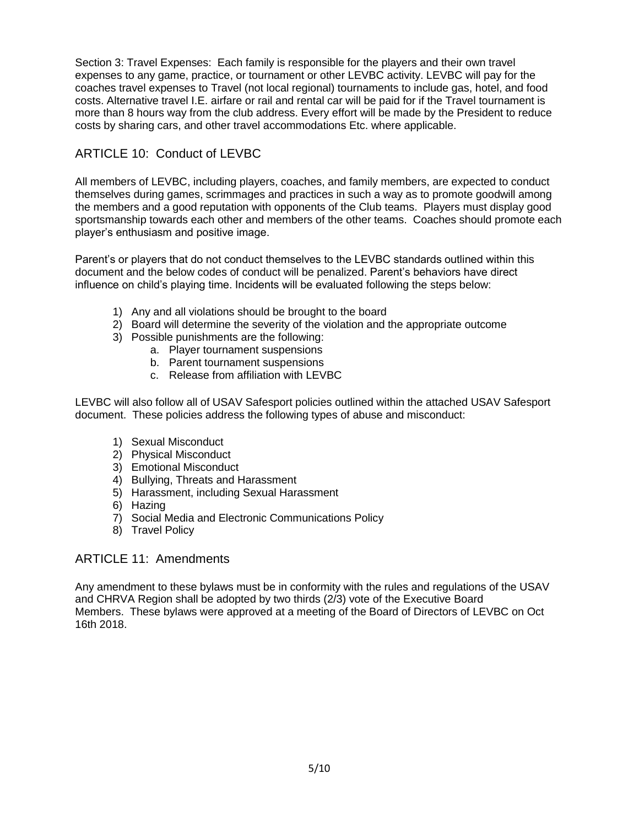Section 3: Travel Expenses: Each family is responsible for the players and their own travel expenses to any game, practice, or tournament or other LEVBC activity. LEVBC will pay for the coaches travel expenses to Travel (not local regional) tournaments to include gas, hotel, and food costs. Alternative travel I.E. airfare or rail and rental car will be paid for if the Travel tournament is more than 8 hours way from the club address. Every effort will be made by the President to reduce costs by sharing cars, and other travel accommodations Etc. where applicable.

# ARTICLE 10: Conduct of LEVBC

All members of LEVBC, including players, coaches, and family members, are expected to conduct themselves during games, scrimmages and practices in such a way as to promote goodwill among the members and a good reputation with opponents of the Club teams. Players must display good sportsmanship towards each other and members of the other teams. Coaches should promote each player's enthusiasm and positive image.

Parent's or players that do not conduct themselves to the LEVBC standards outlined within this document and the below codes of conduct will be penalized. Parent's behaviors have direct influence on child's playing time. Incidents will be evaluated following the steps below:

- 1) Any and all violations should be brought to the board
- 2) Board will determine the severity of the violation and the appropriate outcome
- 3) Possible punishments are the following:
	- a. Player tournament suspensions
	- b. Parent tournament suspensions
	- c. Release from affiliation with LEVBC

LEVBC will also follow all of USAV Safesport policies outlined within the attached USAV Safesport document. These policies address the following types of abuse and misconduct:

- 1) Sexual Misconduct
- 2) Physical Misconduct
- 3) Emotional Misconduct
- 4) Bullying, Threats and Harassment
- 5) Harassment, including Sexual Harassment
- 6) Hazing
- 7) Social Media and Electronic Communications Policy
- 8) Travel Policy

# ARTICLE 11: Amendments

Any amendment to these bylaws must be in conformity with the rules and regulations of the USAV and CHRVA Region shall be adopted by two thirds (2/3) vote of the Executive Board Members. These bylaws were approved at a meeting of the Board of Directors of LEVBC on Oct 16th 2018.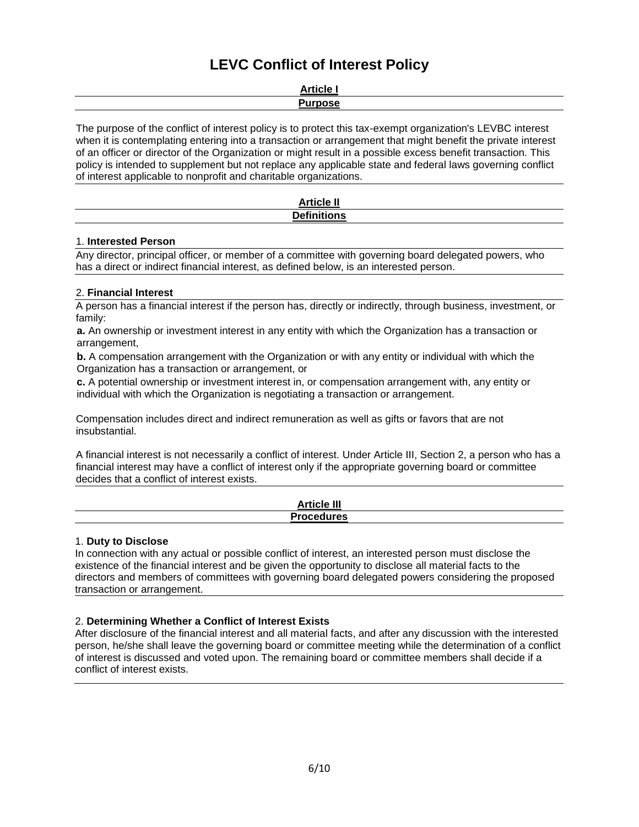# **LEVC Conflict of Interest Policy**

# **Article I**

| , ,, ,, ,, , , |
|----------------|
| Jurnaca        |
|                |

The purpose of the conflict of interest policy is to protect this tax-exempt organization's LEVBC interest when it is contemplating entering into a transaction or arrangement that might benefit the private interest of an officer or director of the Organization or might result in a possible excess benefit transaction. This policy is intended to supplement but not replace any applicable state and federal laws governing conflict of interest applicable to nonprofit and charitable organizations.

# **Article II Definitions**

#### 1. **Interested Person**

Any director, principal officer, or member of a committee with governing board delegated powers, who has a direct or indirect financial interest, as defined below, is an interested person.

#### 2. **Financial Interest**

A person has a financial interest if the person has, directly or indirectly, through business, investment, or family:

**a.** An ownership or investment interest in any entity with which the Organization has a transaction or arrangement,

**b.** A compensation arrangement with the Organization or with any entity or individual with which the Organization has a transaction or arrangement, or

**c.** A potential ownership or investment interest in, or compensation arrangement with, any entity or individual with which the Organization is negotiating a transaction or arrangement.

Compensation includes direct and indirect remuneration as well as gifts or favors that are not insubstantial.

A financial interest is not necessarily a conflict of interest. Under Article III, Section 2, a person who has a financial interest may have a conflict of interest only if the appropriate governing board or committee decides that a conflict of interest exists.

| <b>Article III</b><br>AI |  |
|--------------------------|--|
| <b>Procedures</b>        |  |

#### 1. **Duty to Disclose**

In connection with any actual or possible conflict of interest, an interested person must disclose the existence of the financial interest and be given the opportunity to disclose all material facts to the directors and members of committees with governing board delegated powers considering the proposed transaction or arrangement.

#### 2. **Determining Whether a Conflict of Interest Exists**

After disclosure of the financial interest and all material facts, and after any discussion with the interested person, he/she shall leave the governing board or committee meeting while the determination of a conflict of interest is discussed and voted upon. The remaining board or committee members shall decide if a conflict of interest exists.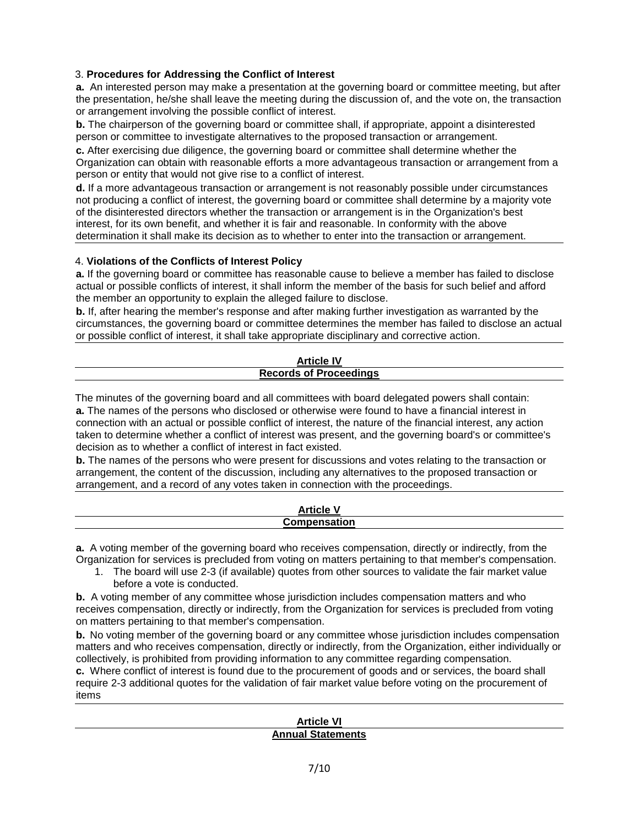## 3. **Procedures for Addressing the Conflict of Interest**

**a.** An interested person may make a presentation at the governing board or committee meeting, but after the presentation, he/she shall leave the meeting during the discussion of, and the vote on, the transaction or arrangement involving the possible conflict of interest.

**b.** The chairperson of the governing board or committee shall, if appropriate, appoint a disinterested person or committee to investigate alternatives to the proposed transaction or arrangement.

**c.** After exercising due diligence, the governing board or committee shall determine whether the Organization can obtain with reasonable efforts a more advantageous transaction or arrangement from a person or entity that would not give rise to a conflict of interest.

**d.** If a more advantageous transaction or arrangement is not reasonably possible under circumstances not producing a conflict of interest, the governing board or committee shall determine by a majority vote of the disinterested directors whether the transaction or arrangement is in the Organization's best interest, for its own benefit, and whether it is fair and reasonable. In conformity with the above determination it shall make its decision as to whether to enter into the transaction or arrangement.

#### 4. **Violations of the Conflicts of Interest Policy**

**a.** If the governing board or committee has reasonable cause to believe a member has failed to disclose actual or possible conflicts of interest, it shall inform the member of the basis for such belief and afford the member an opportunity to explain the alleged failure to disclose.

**b.** If, after hearing the member's response and after making further investigation as warranted by the circumstances, the governing board or committee determines the member has failed to disclose an actual or possible conflict of interest, it shall take appropriate disciplinary and corrective action.

# **Article IV Records of Proceedings**

The minutes of the governing board and all committees with board delegated powers shall contain: **a.** The names of the persons who disclosed or otherwise were found to have a financial interest in connection with an actual or possible conflict of interest, the nature of the financial interest, any action taken to determine whether a conflict of interest was present, and the governing board's or committee's decision as to whether a conflict of interest in fact existed.

**b.** The names of the persons who were present for discussions and votes relating to the transaction or arrangement, the content of the discussion, including any alternatives to the proposed transaction or arrangement, and a record of any votes taken in connection with the proceedings.

| --<br>.5cm <sub>0</sub><br>τιon<br>-- |
|---------------------------------------|
|                                       |

**a.** A voting member of the governing board who receives compensation, directly or indirectly, from the Organization for services is precluded from voting on matters pertaining to that member's compensation.

1. The board will use 2-3 (if available) quotes from other sources to validate the fair market value before a vote is conducted.

**b.** A voting member of any committee whose jurisdiction includes compensation matters and who receives compensation, directly or indirectly, from the Organization for services is precluded from voting on matters pertaining to that member's compensation.

**b.** No voting member of the governing board or any committee whose jurisdiction includes compensation matters and who receives compensation, directly or indirectly, from the Organization, either individually or collectively, is prohibited from providing information to any committee regarding compensation.

**c.** Where conflict of interest is found due to the procurement of goods and or services, the board shall require 2-3 additional quotes for the validation of fair market value before voting on the procurement of items

#### **Article VI Annual Statements**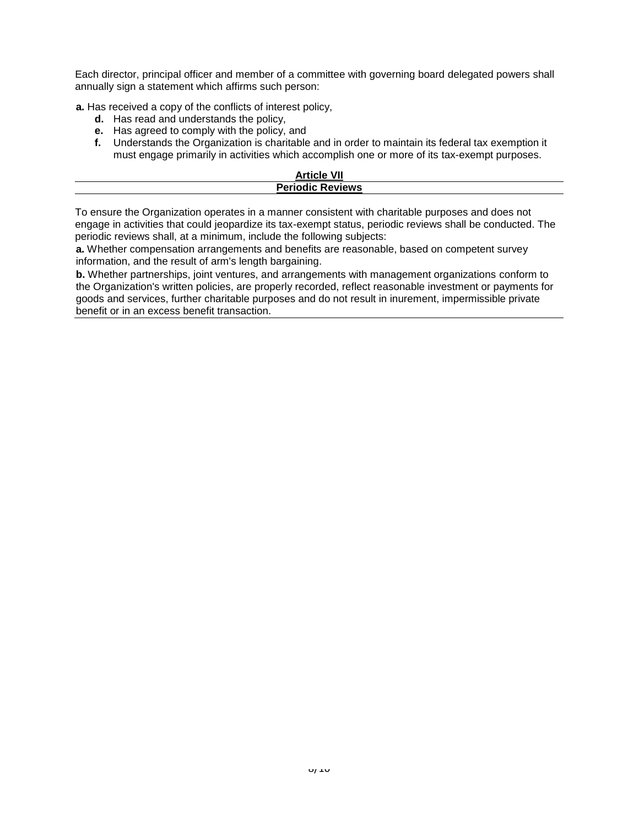Each director, principal officer and member of a committee with governing board delegated powers shall annually sign a statement which affirms such person:

**a.** Has received a copy of the conflicts of interest policy,

- **d.** Has read and understands the policy,
- **e.** Has agreed to comply with the policy, and
- **f.** Understands the Organization is charitable and in order to maintain its federal tax exemption it must engage primarily in activities which accomplish one or more of its tax-exempt purposes.

| e VII<br>ില             |
|-------------------------|
| <b>Periodic Reviews</b> |
|                         |

To ensure the Organization operates in a manner consistent with charitable purposes and does not engage in activities that could jeopardize its tax-exempt status, periodic reviews shall be conducted. The periodic reviews shall, at a minimum, include the following subjects:

**a.** Whether compensation arrangements and benefits are reasonable, based on competent survey information, and the result of arm's length bargaining.

**b.** Whether partnerships, joint ventures, and arrangements with management organizations conform to the Organization's written policies, are properly recorded, reflect reasonable investment or payments for goods and services, further charitable purposes and do not result in inurement, impermissible private benefit or in an excess benefit transaction.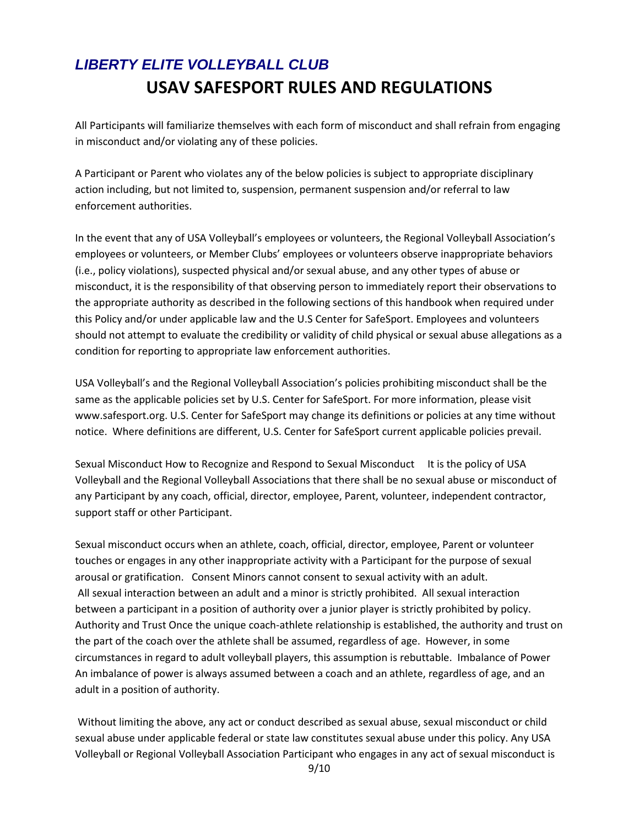# *LIBERTY ELITE VOLLEYBALL CLUB* **USAV SAFESPORT RULES AND REGULATIONS**

All Participants will familiarize themselves with each form of misconduct and shall refrain from engaging in misconduct and/or violating any of these policies.

A Participant or Parent who violates any of the below policies is subject to appropriate disciplinary action including, but not limited to, suspension, permanent suspension and/or referral to law enforcement authorities.

In the event that any of USA Volleyball's employees or volunteers, the Regional Volleyball Association's employees or volunteers, or Member Clubs' employees or volunteers observe inappropriate behaviors (i.e., policy violations), suspected physical and/or sexual abuse, and any other types of abuse or misconduct, it is the responsibility of that observing person to immediately report their observations to the appropriate authority as described in the following sections of this handbook when required under this Policy and/or under applicable law and the U.S Center for SafeSport. Employees and volunteers should not attempt to evaluate the credibility or validity of child physical or sexual abuse allegations as a condition for reporting to appropriate law enforcement authorities.

USA Volleyball's and the Regional Volleyball Association's policies prohibiting misconduct shall be the same as the applicable policies set by U.S. Center for SafeSport. For more information, please visit www.safesport.org. U.S. Center for SafeSport may change its definitions or policies at any time without notice. Where definitions are different, U.S. Center for SafeSport current applicable policies prevail.

Sexual Misconduct How to Recognize and Respond to Sexual Misconduct It is the policy of USA Volleyball and the Regional Volleyball Associations that there shall be no sexual abuse or misconduct of any Participant by any coach, official, director, employee, Parent, volunteer, independent contractor, support staff or other Participant.

Sexual misconduct occurs when an athlete, coach, official, director, employee, Parent or volunteer touches or engages in any other inappropriate activity with a Participant for the purpose of sexual arousal or gratification. Consent Minors cannot consent to sexual activity with an adult. All sexual interaction between an adult and a minor is strictly prohibited. All sexual interaction between a participant in a position of authority over a junior player is strictly prohibited by policy. Authority and Trust Once the unique coach-athlete relationship is established, the authority and trust on the part of the coach over the athlete shall be assumed, regardless of age. However, in some circumstances in regard to adult volleyball players, this assumption is rebuttable. Imbalance of Power An imbalance of power is always assumed between a coach and an athlete, regardless of age, and an adult in a position of authority.

Without limiting the above, any act or conduct described as sexual abuse, sexual misconduct or child sexual abuse under applicable federal or state law constitutes sexual abuse under this policy. Any USA Volleyball or Regional Volleyball Association Participant who engages in any act of sexual misconduct is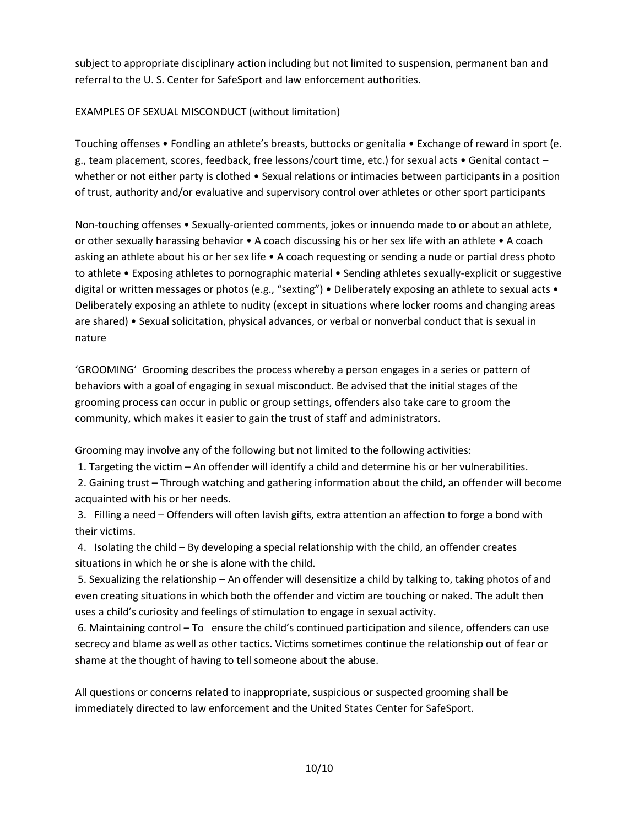subject to appropriate disciplinary action including but not limited to suspension, permanent ban and referral to the U. S. Center for SafeSport and law enforcement authorities.

# EXAMPLES OF SEXUAL MISCONDUCT (without limitation)

Touching offenses • Fondling an athlete's breasts, buttocks or genitalia • Exchange of reward in sport (e. g., team placement, scores, feedback, free lessons/court time, etc.) for sexual acts • Genital contact – whether or not either party is clothed • Sexual relations or intimacies between participants in a position of trust, authority and/or evaluative and supervisory control over athletes or other sport participants

Non-touching offenses • Sexually-oriented comments, jokes or innuendo made to or about an athlete, or other sexually harassing behavior • A coach discussing his or her sex life with an athlete • A coach asking an athlete about his or her sex life • A coach requesting or sending a nude or partial dress photo to athlete • Exposing athletes to pornographic material • Sending athletes sexually-explicit or suggestive digital or written messages or photos (e.g., "sexting") • Deliberately exposing an athlete to sexual acts • Deliberately exposing an athlete to nudity (except in situations where locker rooms and changing areas are shared) • Sexual solicitation, physical advances, or verbal or nonverbal conduct that is sexual in nature

'GROOMING' Grooming describes the process whereby a person engages in a series or pattern of behaviors with a goal of engaging in sexual misconduct. Be advised that the initial stages of the grooming process can occur in public or group settings, offenders also take care to groom the community, which makes it easier to gain the trust of staff and administrators.

Grooming may involve any of the following but not limited to the following activities:

1. Targeting the victim – An offender will identify a child and determine his or her vulnerabilities.

2. Gaining trust – Through watching and gathering information about the child, an offender will become acquainted with his or her needs.

3. Filling a need – Offenders will often lavish gifts, extra attention an affection to forge a bond with their victims.

4. Isolating the child – By developing a special relationship with the child, an offender creates situations in which he or she is alone with the child.

5. Sexualizing the relationship – An offender will desensitize a child by talking to, taking photos of and even creating situations in which both the offender and victim are touching or naked. The adult then uses a child's curiosity and feelings of stimulation to engage in sexual activity.

6. Maintaining control – To ensure the child's continued participation and silence, offenders can use secrecy and blame as well as other tactics. Victims sometimes continue the relationship out of fear or shame at the thought of having to tell someone about the abuse.

All questions or concerns related to inappropriate, suspicious or suspected grooming shall be immediately directed to law enforcement and the United States Center for SafeSport.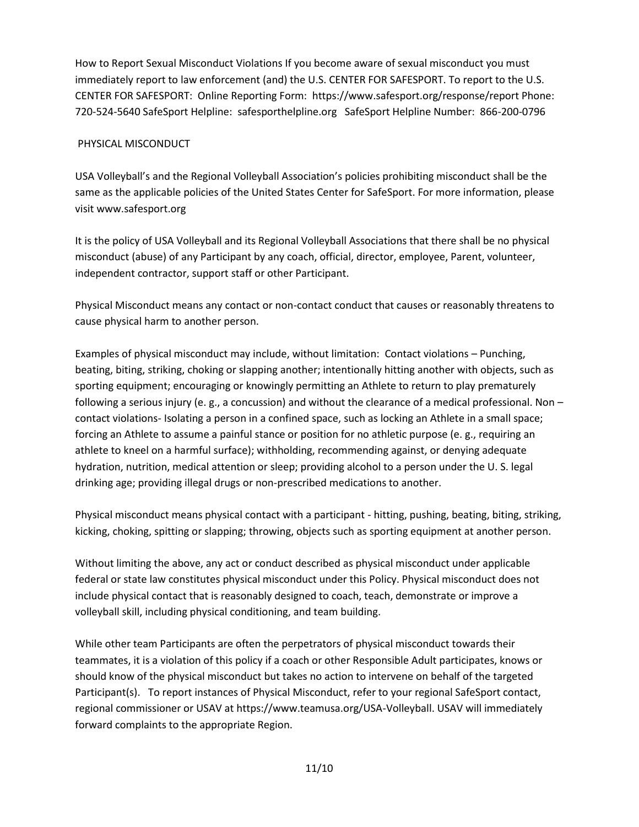How to Report Sexual Misconduct Violations If you become aware of sexual misconduct you must immediately report to law enforcement (and) the U.S. CENTER FOR SAFESPORT. To report to the U.S. CENTER FOR SAFESPORT: Online Reporting Form: https://www.safesport.org/response/report Phone: 720-524-5640 SafeSport Helpline: safesporthelpline.org SafeSport Helpline Number: 866-200-0796

## PHYSICAL MISCONDUCT

USA Volleyball's and the Regional Volleyball Association's policies prohibiting misconduct shall be the same as the applicable policies of the United States Center for SafeSport. For more information, please visit www.safesport.org

It is the policy of USA Volleyball and its Regional Volleyball Associations that there shall be no physical misconduct (abuse) of any Participant by any coach, official, director, employee, Parent, volunteer, independent contractor, support staff or other Participant.

Physical Misconduct means any contact or non-contact conduct that causes or reasonably threatens to cause physical harm to another person.

Examples of physical misconduct may include, without limitation: Contact violations – Punching, beating, biting, striking, choking or slapping another; intentionally hitting another with objects, such as sporting equipment; encouraging or knowingly permitting an Athlete to return to play prematurely following a serious injury (e. g., a concussion) and without the clearance of a medical professional. Non contact violations- Isolating a person in a confined space, such as locking an Athlete in a small space; forcing an Athlete to assume a painful stance or position for no athletic purpose (e. g., requiring an athlete to kneel on a harmful surface); withholding, recommending against, or denying adequate hydration, nutrition, medical attention or sleep; providing alcohol to a person under the U. S. legal drinking age; providing illegal drugs or non-prescribed medications to another.

Physical misconduct means physical contact with a participant - hitting, pushing, beating, biting, striking, kicking, choking, spitting or slapping; throwing, objects such as sporting equipment at another person.

Without limiting the above, any act or conduct described as physical misconduct under applicable federal or state law constitutes physical misconduct under this Policy. Physical misconduct does not include physical contact that is reasonably designed to coach, teach, demonstrate or improve a volleyball skill, including physical conditioning, and team building.

While other team Participants are often the perpetrators of physical misconduct towards their teammates, it is a violation of this policy if a coach or other Responsible Adult participates, knows or should know of the physical misconduct but takes no action to intervene on behalf of the targeted Participant(s). To report instances of Physical Misconduct, refer to your regional SafeSport contact, regional commissioner or USAV at https://www.teamusa.org/USA-Volleyball. USAV will immediately forward complaints to the appropriate Region.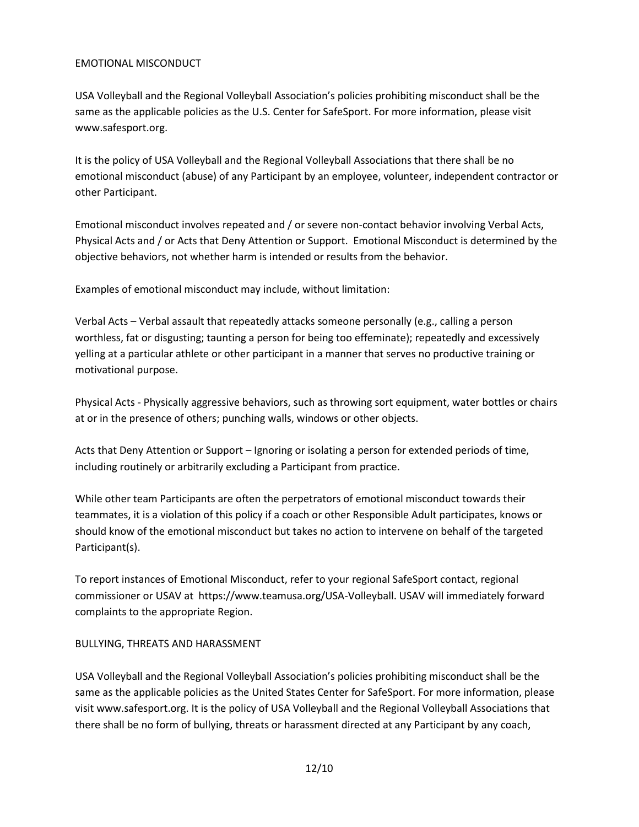#### EMOTIONAL MISCONDUCT

USA Volleyball and the Regional Volleyball Association's policies prohibiting misconduct shall be the same as the applicable policies as the U.S. Center for SafeSport. For more information, please visit www.safesport.org.

It is the policy of USA Volleyball and the Regional Volleyball Associations that there shall be no emotional misconduct (abuse) of any Participant by an employee, volunteer, independent contractor or other Participant.

Emotional misconduct involves repeated and / or severe non-contact behavior involving Verbal Acts, Physical Acts and / or Acts that Deny Attention or Support. Emotional Misconduct is determined by the objective behaviors, not whether harm is intended or results from the behavior.

Examples of emotional misconduct may include, without limitation:

Verbal Acts – Verbal assault that repeatedly attacks someone personally (e.g., calling a person worthless, fat or disgusting; taunting a person for being too effeminate); repeatedly and excessively yelling at a particular athlete or other participant in a manner that serves no productive training or motivational purpose.

Physical Acts - Physically aggressive behaviors, such as throwing sort equipment, water bottles or chairs at or in the presence of others; punching walls, windows or other objects.

Acts that Deny Attention or Support – Ignoring or isolating a person for extended periods of time, including routinely or arbitrarily excluding a Participant from practice.

While other team Participants are often the perpetrators of emotional misconduct towards their teammates, it is a violation of this policy if a coach or other Responsible Adult participates, knows or should know of the emotional misconduct but takes no action to intervene on behalf of the targeted Participant(s).

To report instances of Emotional Misconduct, refer to your regional SafeSport contact, regional commissioner or USAV at https://www.teamusa.org/USA-Volleyball. USAV will immediately forward complaints to the appropriate Region.

# BULLYING, THREATS AND HARASSMENT

USA Volleyball and the Regional Volleyball Association's policies prohibiting misconduct shall be the same as the applicable policies as the United States Center for SafeSport. For more information, please visit www.safesport.org. It is the policy of USA Volleyball and the Regional Volleyball Associations that there shall be no form of bullying, threats or harassment directed at any Participant by any coach,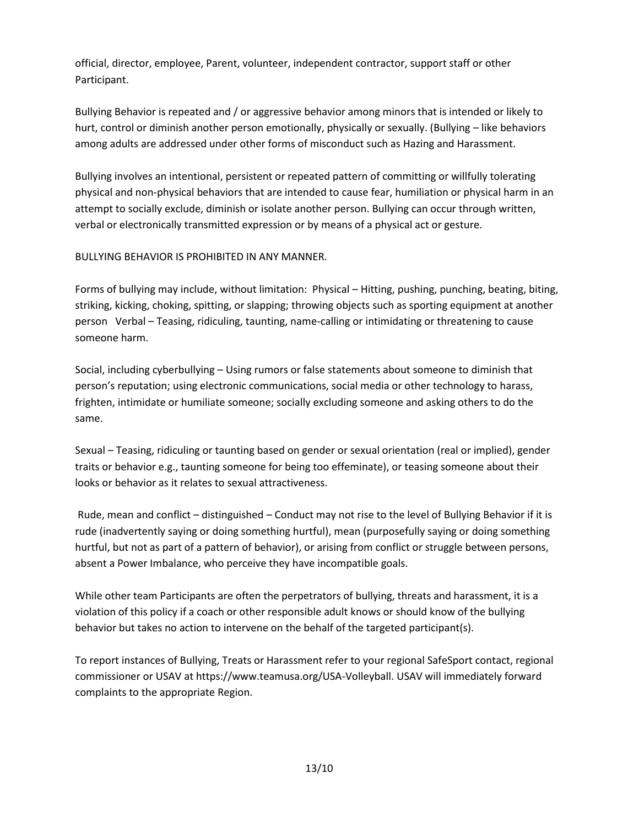official, director, employee, Parent, volunteer, independent contractor, support staff or other Participant.

Bullying Behavior is repeated and / or aggressive behavior among minors that is intended or likely to hurt, control or diminish another person emotionally, physically or sexually. (Bullying – like behaviors among adults are addressed under other forms of misconduct such as Hazing and Harassment.

Bullying involves an intentional, persistent or repeated pattern of committing or willfully tolerating physical and non-physical behaviors that are intended to cause fear, humiliation or physical harm in an attempt to socially exclude, diminish or isolate another person. Bullying can occur through written, verbal or electronically transmitted expression or by means of a physical act or gesture.

BULLYING BEHAVIOR IS PROHIBITED IN ANY MANNER.

Forms of bullying may include, without limitation: Physical – Hitting, pushing, punching, beating, biting, striking, kicking, choking, spitting, or slapping; throwing objects such as sporting equipment at another person Verbal – Teasing, ridiculing, taunting, name-calling or intimidating or threatening to cause someone harm.

Social, including cyberbullying – Using rumors or false statements about someone to diminish that person's reputation; using electronic communications, social media or other technology to harass, frighten, intimidate or humiliate someone; socially excluding someone and asking others to do the same.

Sexual – Teasing, ridiculing or taunting based on gender or sexual orientation (real or implied), gender traits or behavior e.g., taunting someone for being too effeminate), or teasing someone about their looks or behavior as it relates to sexual attractiveness.

Rude, mean and conflict – distinguished – Conduct may not rise to the level of Bullying Behavior if it is rude (inadvertently saying or doing something hurtful), mean (purposefully saying or doing something hurtful, but not as part of a pattern of behavior), or arising from conflict or struggle between persons, absent a Power Imbalance, who perceive they have incompatible goals.

While other team Participants are often the perpetrators of bullying, threats and harassment, it is a violation of this policy if a coach or other responsible adult knows or should know of the bullying behavior but takes no action to intervene on the behalf of the targeted participant(s).

To report instances of Bullying, Treats or Harassment refer to your regional SafeSport contact, regional commissioner or USAV at https://www.teamusa.org/USA-Volleyball. USAV will immediately forward complaints to the appropriate Region.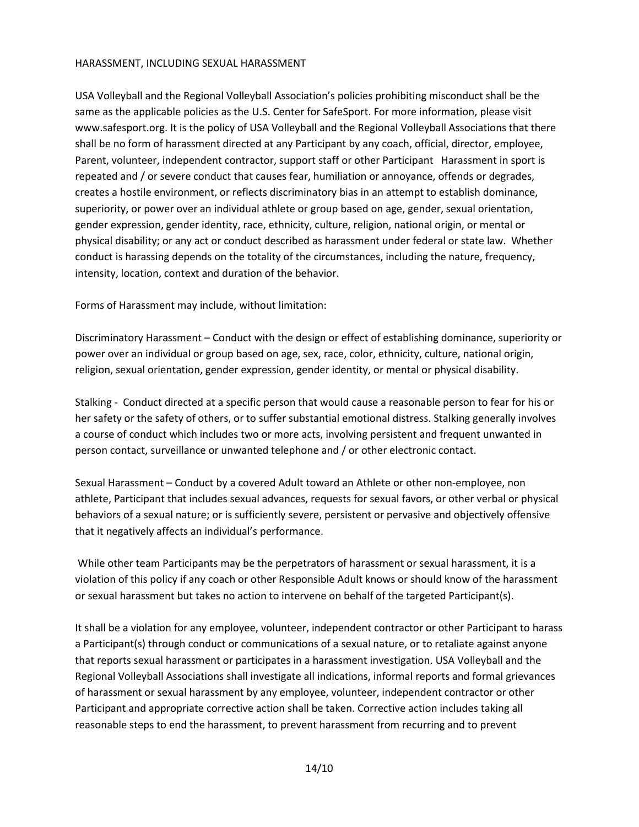#### HARASSMENT, INCLUDING SEXUAL HARASSMENT

USA Volleyball and the Regional Volleyball Association's policies prohibiting misconduct shall be the same as the applicable policies as the U.S. Center for SafeSport. For more information, please visit www.safesport.org. It is the policy of USA Volleyball and the Regional Volleyball Associations that there shall be no form of harassment directed at any Participant by any coach, official, director, employee, Parent, volunteer, independent contractor, support staff or other Participant Harassment in sport is repeated and / or severe conduct that causes fear, humiliation or annoyance, offends or degrades, creates a hostile environment, or reflects discriminatory bias in an attempt to establish dominance, superiority, or power over an individual athlete or group based on age, gender, sexual orientation, gender expression, gender identity, race, ethnicity, culture, religion, national origin, or mental or physical disability; or any act or conduct described as harassment under federal or state law. Whether conduct is harassing depends on the totality of the circumstances, including the nature, frequency, intensity, location, context and duration of the behavior.

Forms of Harassment may include, without limitation:

Discriminatory Harassment – Conduct with the design or effect of establishing dominance, superiority or power over an individual or group based on age, sex, race, color, ethnicity, culture, national origin, religion, sexual orientation, gender expression, gender identity, or mental or physical disability.

Stalking - Conduct directed at a specific person that would cause a reasonable person to fear for his or her safety or the safety of others, or to suffer substantial emotional distress. Stalking generally involves a course of conduct which includes two or more acts, involving persistent and frequent unwanted in person contact, surveillance or unwanted telephone and / or other electronic contact.

Sexual Harassment – Conduct by a covered Adult toward an Athlete or other non-employee, non athlete, Participant that includes sexual advances, requests for sexual favors, or other verbal or physical behaviors of a sexual nature; or is sufficiently severe, persistent or pervasive and objectively offensive that it negatively affects an individual's performance.

While other team Participants may be the perpetrators of harassment or sexual harassment, it is a violation of this policy if any coach or other Responsible Adult knows or should know of the harassment or sexual harassment but takes no action to intervene on behalf of the targeted Participant(s).

It shall be a violation for any employee, volunteer, independent contractor or other Participant to harass a Participant(s) through conduct or communications of a sexual nature, or to retaliate against anyone that reports sexual harassment or participates in a harassment investigation. USA Volleyball and the Regional Volleyball Associations shall investigate all indications, informal reports and formal grievances of harassment or sexual harassment by any employee, volunteer, independent contractor or other Participant and appropriate corrective action shall be taken. Corrective action includes taking all reasonable steps to end the harassment, to prevent harassment from recurring and to prevent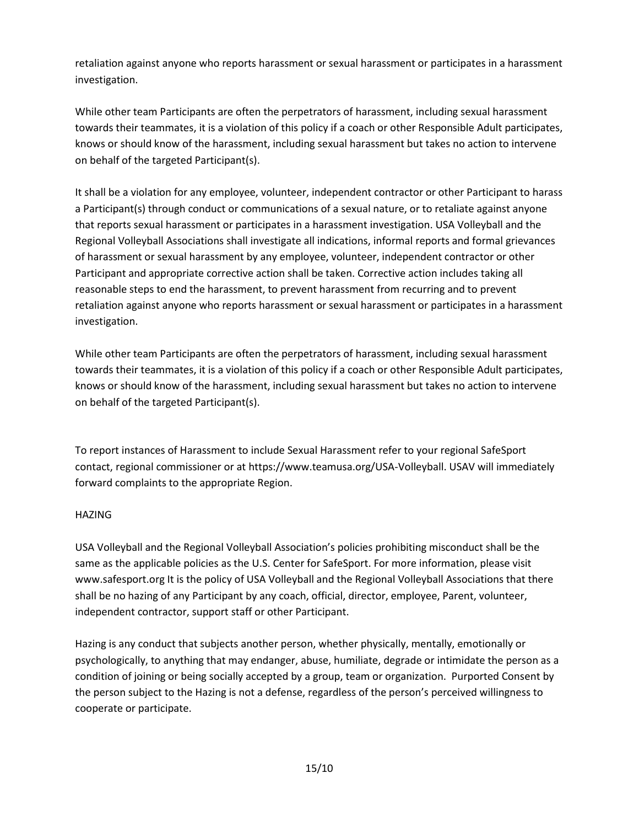retaliation against anyone who reports harassment or sexual harassment or participates in a harassment investigation.

While other team Participants are often the perpetrators of harassment, including sexual harassment towards their teammates, it is a violation of this policy if a coach or other Responsible Adult participates, knows or should know of the harassment, including sexual harassment but takes no action to intervene on behalf of the targeted Participant(s).

It shall be a violation for any employee, volunteer, independent contractor or other Participant to harass a Participant(s) through conduct or communications of a sexual nature, or to retaliate against anyone that reports sexual harassment or participates in a harassment investigation. USA Volleyball and the Regional Volleyball Associations shall investigate all indications, informal reports and formal grievances of harassment or sexual harassment by any employee, volunteer, independent contractor or other Participant and appropriate corrective action shall be taken. Corrective action includes taking all reasonable steps to end the harassment, to prevent harassment from recurring and to prevent retaliation against anyone who reports harassment or sexual harassment or participates in a harassment investigation.

While other team Participants are often the perpetrators of harassment, including sexual harassment towards their teammates, it is a violation of this policy if a coach or other Responsible Adult participates, knows or should know of the harassment, including sexual harassment but takes no action to intervene on behalf of the targeted Participant(s).

To report instances of Harassment to include Sexual Harassment refer to your regional SafeSport contact, regional commissioner or at https://www.teamusa.org/USA-Volleyball. USAV will immediately forward complaints to the appropriate Region.

# HAZING

USA Volleyball and the Regional Volleyball Association's policies prohibiting misconduct shall be the same as the applicable policies as the U.S. Center for SafeSport. For more information, please visit www.safesport.org It is the policy of USA Volleyball and the Regional Volleyball Associations that there shall be no hazing of any Participant by any coach, official, director, employee, Parent, volunteer, independent contractor, support staff or other Participant.

Hazing is any conduct that subjects another person, whether physically, mentally, emotionally or psychologically, to anything that may endanger, abuse, humiliate, degrade or intimidate the person as a condition of joining or being socially accepted by a group, team or organization. Purported Consent by the person subject to the Hazing is not a defense, regardless of the person's perceived willingness to cooperate or participate.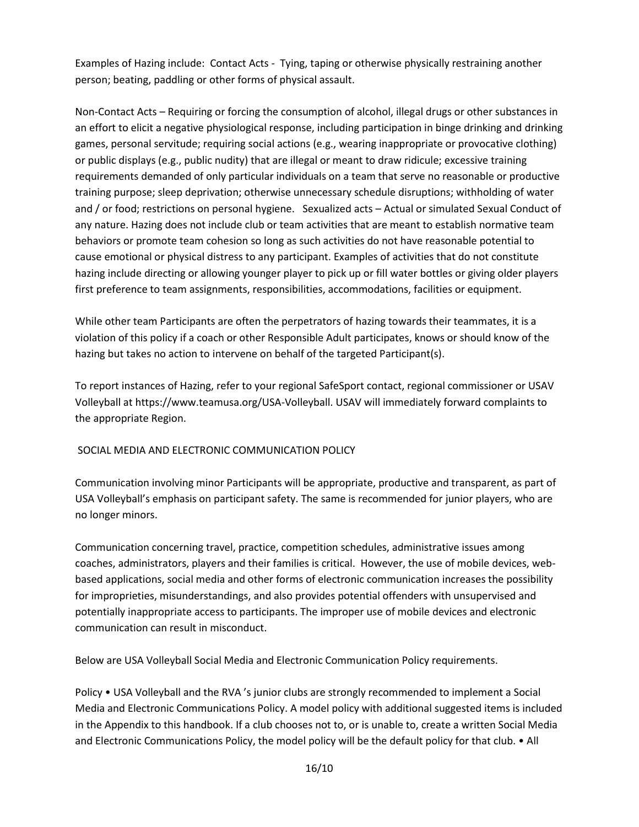Examples of Hazing include: Contact Acts - Tying, taping or otherwise physically restraining another person; beating, paddling or other forms of physical assault.

Non-Contact Acts – Requiring or forcing the consumption of alcohol, illegal drugs or other substances in an effort to elicit a negative physiological response, including participation in binge drinking and drinking games, personal servitude; requiring social actions (e.g., wearing inappropriate or provocative clothing) or public displays (e.g., public nudity) that are illegal or meant to draw ridicule; excessive training requirements demanded of only particular individuals on a team that serve no reasonable or productive training purpose; sleep deprivation; otherwise unnecessary schedule disruptions; withholding of water and / or food; restrictions on personal hygiene. Sexualized acts – Actual or simulated Sexual Conduct of any nature. Hazing does not include club or team activities that are meant to establish normative team behaviors or promote team cohesion so long as such activities do not have reasonable potential to cause emotional or physical distress to any participant. Examples of activities that do not constitute hazing include directing or allowing younger player to pick up or fill water bottles or giving older players first preference to team assignments, responsibilities, accommodations, facilities or equipment.

While other team Participants are often the perpetrators of hazing towards their teammates, it is a violation of this policy if a coach or other Responsible Adult participates, knows or should know of the hazing but takes no action to intervene on behalf of the targeted Participant(s).

To report instances of Hazing, refer to your regional SafeSport contact, regional commissioner or USAV Volleyball at https://www.teamusa.org/USA-Volleyball. USAV will immediately forward complaints to the appropriate Region.

# SOCIAL MEDIA AND ELECTRONIC COMMUNICATION POLICY

Communication involving minor Participants will be appropriate, productive and transparent, as part of USA Volleyball's emphasis on participant safety. The same is recommended for junior players, who are no longer minors.

Communication concerning travel, practice, competition schedules, administrative issues among coaches, administrators, players and their families is critical. However, the use of mobile devices, webbased applications, social media and other forms of electronic communication increases the possibility for improprieties, misunderstandings, and also provides potential offenders with unsupervised and potentially inappropriate access to participants. The improper use of mobile devices and electronic communication can result in misconduct.

Below are USA Volleyball Social Media and Electronic Communication Policy requirements.

Policy • USA Volleyball and the RVA 's junior clubs are strongly recommended to implement a Social Media and Electronic Communications Policy. A model policy with additional suggested items is included in the Appendix to this handbook. If a club chooses not to, or is unable to, create a written Social Media and Electronic Communications Policy, the model policy will be the default policy for that club. • All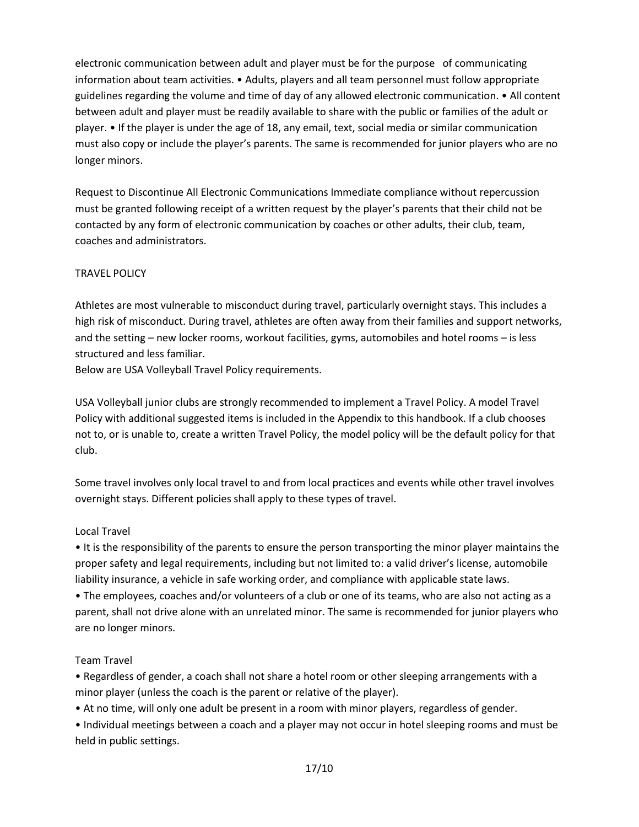electronic communication between adult and player must be for the purpose of communicating information about team activities. • Adults, players and all team personnel must follow appropriate guidelines regarding the volume and time of day of any allowed electronic communication. • All content between adult and player must be readily available to share with the public or families of the adult or player. • If the player is under the age of 18, any email, text, social media or similar communication must also copy or include the player's parents. The same is recommended for junior players who are no longer minors.

Request to Discontinue All Electronic Communications Immediate compliance without repercussion must be granted following receipt of a written request by the player's parents that their child not be contacted by any form of electronic communication by coaches or other adults, their club, team, coaches and administrators.

### TRAVEL POLICY

Athletes are most vulnerable to misconduct during travel, particularly overnight stays. This includes a high risk of misconduct. During travel, athletes are often away from their families and support networks, and the setting – new locker rooms, workout facilities, gyms, automobiles and hotel rooms – is less structured and less familiar.

Below are USA Volleyball Travel Policy requirements.

USA Volleyball junior clubs are strongly recommended to implement a Travel Policy. A model Travel Policy with additional suggested items is included in the Appendix to this handbook. If a club chooses not to, or is unable to, create a written Travel Policy, the model policy will be the default policy for that club.

Some travel involves only local travel to and from local practices and events while other travel involves overnight stays. Different policies shall apply to these types of travel.

#### Local Travel

• It is the responsibility of the parents to ensure the person transporting the minor player maintains the proper safety and legal requirements, including but not limited to: a valid driver's license, automobile liability insurance, a vehicle in safe working order, and compliance with applicable state laws.

• The employees, coaches and/or volunteers of a club or one of its teams, who are also not acting as a parent, shall not drive alone with an unrelated minor. The same is recommended for junior players who are no longer minors.

#### Team Travel

• Regardless of gender, a coach shall not share a hotel room or other sleeping arrangements with a minor player (unless the coach is the parent or relative of the player).

• At no time, will only one adult be present in a room with minor players, regardless of gender.

• Individual meetings between a coach and a player may not occur in hotel sleeping rooms and must be held in public settings.